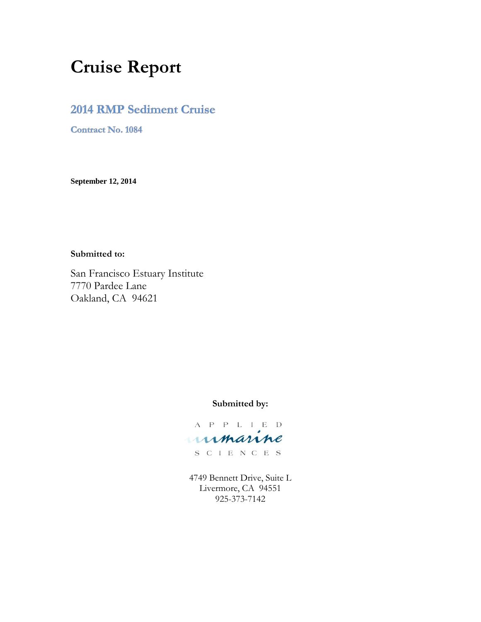# **Cruise Report**

# **2014 RMP Sediment Cruise**

**Contract No. 1084** 

**September 12, 2014**

#### **Submitted to:**

San Francisco Estuary Institute 7770 Pardee Lane Oakland, CA 94621

#### **Submitted by:**

A P P L I E D umanne

S C I E N C E S

4749 Bennett Drive, Suite L Livermore, CA 94551 925-373-7142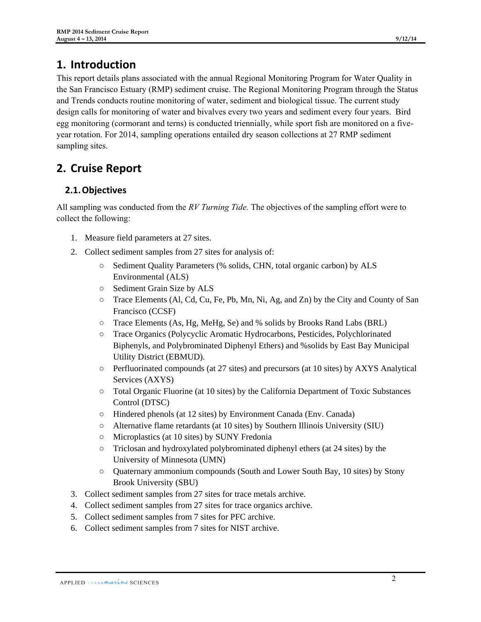This report details plans associated with the annual Regional Monitoring Program for Water Quality in the San Francisco Estuary (RMP) sediment cruise. The Regional Monitoring Program through the Status and Trends conducts routine monitoring of water, sediment and biological tissue. The current study design calls for monitoring of water and bivalves every two years and sediment every four years. Bird egg monitoring (cormorant and terns) is conducted triennially, while sport fish are monitored on a fiveyear rotation. For 2014, sampling operations entailed dry season collections at 27 RMP sediment sampling sites.

# **2. Cruise Report**

# **2.1.Objectives**

All sampling was conducted from the *RV Turning Tide.* The objectives of the sampling effort were to collect the following:

- 1. Measure field parameters at 27 sites.
- 2. Collect sediment samples from 27 sites for analysis of:
	- Sediment Quality Parameters (% solids, CHN, total organic carbon) by ALS Environmental (ALS)
	- Sediment Grain Size by ALS
	- Trace Elements (Al, Cd, Cu, Fe, Pb, Mn, Ni, Ag, and Zn) by the City and County of San Francisco (CCSF)
	- Trace Elements (As, Hg, MeHg, Se) and % solids by Brooks Rand Labs (BRL)
	- Trace Organics (Polycyclic Aromatic Hydrocarbons, Pesticides, Polychlorinated Biphenyls, and Polybrominated Diphenyl Ethers) and %solids by East Bay Municipal Utility District (EBMUD).
	- Perfluorinated compounds (at 27 sites) and precursors (at 10 sites) by AXYS Analytical Services (AXYS)
	- Total Organic Fluorine (at 10 sites) by the California Department of Toxic Substances Control (DTSC)
	- Hindered phenols (at 12 sites) by Environment Canada (Env. Canada)
	- Alternative flame retardants (at 10 sites) by Southern Illinois University (SIU)
	- Microplastics (at 10 sites) by SUNY Fredonia
	- Triclosan and hydroxylated polybrominated diphenyl ethers (at 24 sites) by the University of Minnesota (UMN)
	- Quaternary ammonium compounds (South and Lower South Bay, 10 sites) by Stony Brook University (SBU)
- 3. Collect sediment samples from 27 sites for trace metals archive.
- 4. Collect sediment samples from 27 sites for trace organics archive.
- 5. Collect sediment samples from 7 sites for PFC archive.
- 6. Collect sediment samples from 7 sites for NIST archive.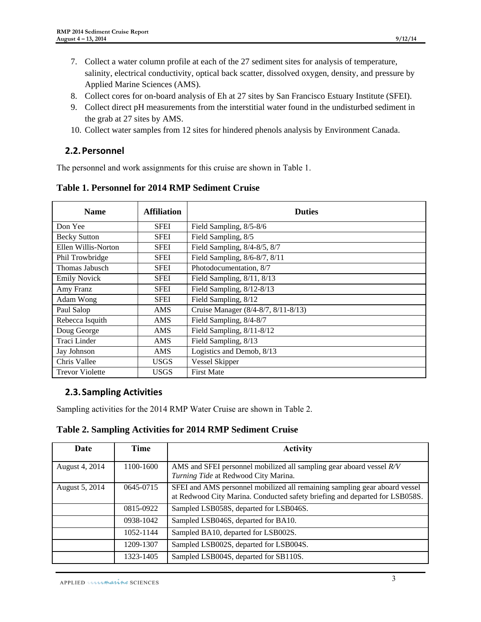- 7. Collect a water column profile at each of the 27 sediment sites for analysis of temperature, salinity, electrical conductivity, optical back scatter, dissolved oxygen, density, and pressure by Applied Marine Sciences (AMS).
- 8. Collect cores for on-board analysis of Eh at 27 sites by San Francisco Estuary Institute (SFEI).
- 9. Collect direct pH measurements from the interstitial water found in the undisturbed sediment in the grab at 27 sites by AMS.
- 10. Collect water samples from 12 sites for hindered phenols analysis by Environment Canada.

#### **2.2.Personnel**

The personnel and work assignments for this cruise are shown in [Table 1.](#page-2-0)

| <b>Name</b>            | <b>Affiliation</b> | <b>Duties</b>                       |
|------------------------|--------------------|-------------------------------------|
| Don Yee                | <b>SFEI</b>        | Field Sampling, 8/5-8/6             |
| <b>Becky Sutton</b>    | <b>SFEI</b>        | Field Sampling, 8/5                 |
| Ellen Willis-Norton    | <b>SFEI</b>        | Field Sampling, 8/4-8/5, 8/7        |
| Phil Trowbridge        | <b>SFEI</b>        | Field Sampling, 8/6-8/7, 8/11       |
| Thomas Jabusch         | <b>SFEI</b>        | Photodocumentation, 8/7             |
| <b>Emily Novick</b>    | <b>SFEI</b>        | Field Sampling, $8/11$ , $8/13$     |
| Amy Franz              | <b>SFEI</b>        | Field Sampling, 8/12-8/13           |
| Adam Wong              | <b>SFEI</b>        | Field Sampling, 8/12                |
| Paul Salop             | <b>AMS</b>         | Cruise Manager (8/4-8/7, 8/11-8/13) |
| Rebecca Isquith        | <b>AMS</b>         | Field Sampling, 8/4-8/7             |
| Doug George            | AMS                | Field Sampling, 8/11-8/12           |
| Traci Linder           | <b>AMS</b>         | Field Sampling, 8/13                |
| Jay Johnson            | AMS                | Logistics and Demob, 8/13           |
| Chris Vallee           | <b>USGS</b>        | Vessel Skipper                      |
| <b>Trevor Violette</b> | <b>USGS</b>        | <b>First Mate</b>                   |

<span id="page-2-0"></span>**Table 1. Personnel for 2014 RMP Sediment Cruise**

## **2.3.Sampling Activities**

Sampling activities for the 2014 RMP Water Cruise are shown in [Table 2.](#page-2-1)

#### <span id="page-2-1"></span>**Table 2. Sampling Activities for 2014 RMP Sediment Cruise**

| Date           | Time      | <b>Activity</b>                                                                                                                                           |
|----------------|-----------|-----------------------------------------------------------------------------------------------------------------------------------------------------------|
| August 4, 2014 | 1100-1600 | AMS and SFEI personnel mobilized all sampling gear aboard vessel $R/V$<br>Turning Tide at Redwood City Marina.                                            |
| August 5, 2014 | 0645-0715 | SFEI and AMS personnel mobilized all remaining sampling gear aboard vessel<br>at Redwood City Marina. Conducted safety briefing and departed for LSB058S. |
|                | 0815-0922 | Sampled LSB058S, departed for LSB046S.                                                                                                                    |
|                | 0938-1042 | Sampled LSB046S, departed for BA10.                                                                                                                       |
|                | 1052-1144 | Sampled BA10, departed for LSB002S.                                                                                                                       |
|                | 1209-1307 | Sampled LSB002S, departed for LSB004S.                                                                                                                    |
|                | 1323-1405 | Sampled LSB004S, departed for SB110S.                                                                                                                     |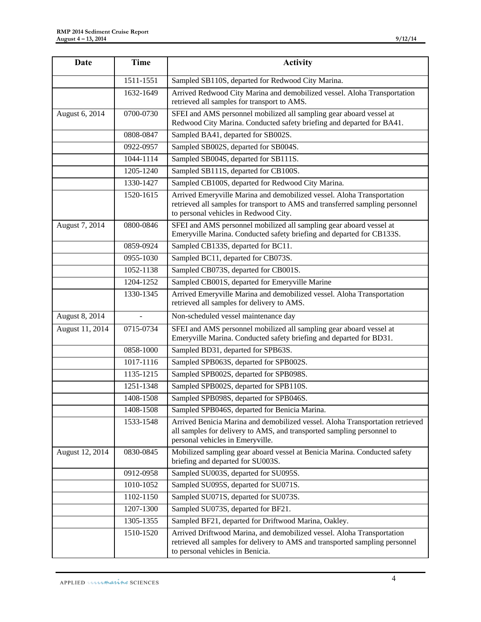| Date            | <b>Time</b> | <b>Activity</b>                                                                                                                                                                                  |
|-----------------|-------------|--------------------------------------------------------------------------------------------------------------------------------------------------------------------------------------------------|
|                 | 1511-1551   | Sampled SB110S, departed for Redwood City Marina.                                                                                                                                                |
|                 | 1632-1649   | Arrived Redwood City Marina and demobilized vessel. Aloha Transportation<br>retrieved all samples for transport to AMS.                                                                          |
| August 6, 2014  | 0700-0730   | SFEI and AMS personnel mobilized all sampling gear aboard vessel at<br>Redwood City Marina. Conducted safety briefing and departed for BA41.                                                     |
|                 | 0808-0847   | Sampled BA41, departed for SB002S.                                                                                                                                                               |
|                 | 0922-0957   | Sampled SB002S, departed for SB004S.                                                                                                                                                             |
|                 | 1044-1114   | Sampled SB004S, departed for SB111S.                                                                                                                                                             |
|                 | 1205-1240   | Sampled SB111S, departed for CB100S.                                                                                                                                                             |
|                 | 1330-1427   | Sampled CB100S, departed for Redwood City Marina.                                                                                                                                                |
|                 | 1520-1615   | Arrived Emeryville Marina and demobilized vessel. Aloha Transportation<br>retrieved all samples for transport to AMS and transferred sampling personnel<br>to personal vehicles in Redwood City. |
| August 7, 2014  | 0800-0846   | SFEI and AMS personnel mobilized all sampling gear aboard vessel at<br>Emeryville Marina. Conducted safety briefing and departed for CB133S.                                                     |
|                 | 0859-0924   | Sampled CB133S, departed for BC11.                                                                                                                                                               |
|                 | 0955-1030   | Sampled BC11, departed for CB073S.                                                                                                                                                               |
|                 | 1052-1138   | Sampled CB073S, departed for CB001S.                                                                                                                                                             |
|                 | 1204-1252   | Sampled CB001S, departed for Emeryville Marine                                                                                                                                                   |
|                 | 1330-1345   | Arrived Emeryville Marina and demobilized vessel. Aloha Transportation<br>retrieved all samples for delivery to AMS.                                                                             |
| August 8, 2014  |             | Non-scheduled vessel maintenance day                                                                                                                                                             |
| August 11, 2014 | 0715-0734   | SFEI and AMS personnel mobilized all sampling gear aboard vessel at<br>Emeryville Marina. Conducted safety briefing and departed for BD31.                                                       |
|                 | 0858-1000   | Sampled BD31, departed for SPB63S.                                                                                                                                                               |
|                 | 1017-1116   | Sampled SPB063S, departed for SPB002S.                                                                                                                                                           |
|                 | 1135-1215   | Sampled SPB002S, departed for SPB098S.                                                                                                                                                           |
|                 | 1251-1348   | Sampled SPB002S, departed for SPB110S.                                                                                                                                                           |
|                 | 1408-1508   | Sampled SPB098S, departed for SPB046S.                                                                                                                                                           |
|                 | 1408-1508   | Sampled SPB046S, departed for Benicia Marina.                                                                                                                                                    |
|                 | 1533-1548   | Arrived Benicia Marina and demobilized vessel. Aloha Transportation retrieved<br>all samples for delivery to AMS, and transported sampling personnel to<br>personal vehicles in Emeryville.      |
| August 12, 2014 | 0830-0845   | Mobilized sampling gear aboard vessel at Benicia Marina. Conducted safety<br>briefing and departed for SU003S.                                                                                   |
|                 | 0912-0958   | Sampled SU003S, departed for SU095S.                                                                                                                                                             |
|                 | 1010-1052   | Sampled SU095S, departed for SU071S.                                                                                                                                                             |
|                 | 1102-1150   | Sampled SU071S, departed for SU073S.                                                                                                                                                             |
|                 | 1207-1300   | Sampled SU073S, departed for BF21.                                                                                                                                                               |
|                 | 1305-1355   | Sampled BF21, departed for Driftwood Marina, Oakley.                                                                                                                                             |
|                 | 1510-1520   | Arrived Driftwood Marina, and demobilized vessel. Aloha Transportation<br>retrieved all samples for delivery to AMS and transported sampling personnel<br>to personal vehicles in Benicia.       |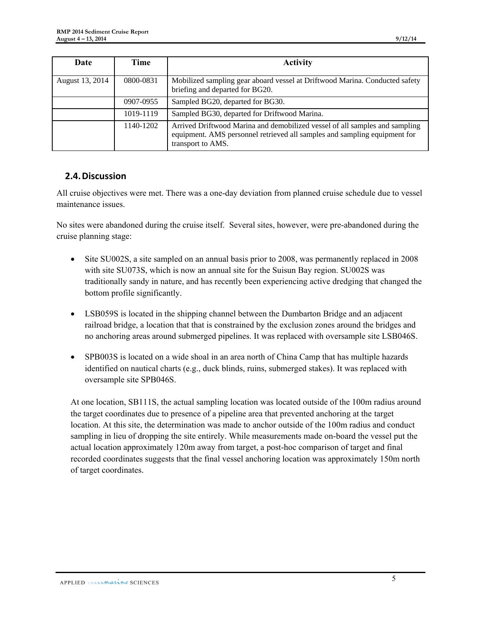| Date            | Time      | <b>Activity</b>                                                                                                                                                               |  |  |  |  |  |  |
|-----------------|-----------|-------------------------------------------------------------------------------------------------------------------------------------------------------------------------------|--|--|--|--|--|--|
| August 13, 2014 | 0800-0831 | Mobilized sampling gear aboard vessel at Driftwood Marina. Conducted safety<br>briefing and departed for BG20.                                                                |  |  |  |  |  |  |
|                 | 0907-0955 | Sampled BG20, departed for BG30.                                                                                                                                              |  |  |  |  |  |  |
|                 | 1019-1119 | Sampled BG30, departed for Driftwood Marina.                                                                                                                                  |  |  |  |  |  |  |
|                 | 1140-1202 | Arrived Driftwood Marina and demobilized vessel of all samples and sampling<br>equipment. AMS personnel retrieved all samples and sampling equipment for<br>transport to AMS. |  |  |  |  |  |  |

#### **2.4.Discussion**

All cruise objectives were met. There was a one-day deviation from planned cruise schedule due to vessel maintenance issues.

No sites were abandoned during the cruise itself. Several sites, however, were pre-abandoned during the cruise planning stage:

- Site SU002S, a site sampled on an annual basis prior to 2008, was permanently replaced in 2008 with site SU073S, which is now an annual site for the Suisun Bay region. SU002S was traditionally sandy in nature, and has recently been experiencing active dredging that changed the bottom profile significantly.
- LSB059S is located in the shipping channel between the Dumbarton Bridge and an adjacent railroad bridge, a location that that is constrained by the exclusion zones around the bridges and no anchoring areas around submerged pipelines. It was replaced with oversample site LSB046S.
- SPB003S is located on a wide shoal in an area north of China Camp that has multiple hazards identified on nautical charts (e.g., duck blinds, ruins, submerged stakes). It was replaced with oversample site SPB046S.

At one location, SB111S, the actual sampling location was located outside of the 100m radius around the target coordinates due to presence of a pipeline area that prevented anchoring at the target location. At this site, the determination was made to anchor outside of the 100m radius and conduct sampling in lieu of dropping the site entirely. While measurements made on-board the vessel put the actual location approximately 120m away from target, a post-hoc comparison of target and final recorded coordinates suggests that the final vessel anchoring location was approximately 150m north of target coordinates.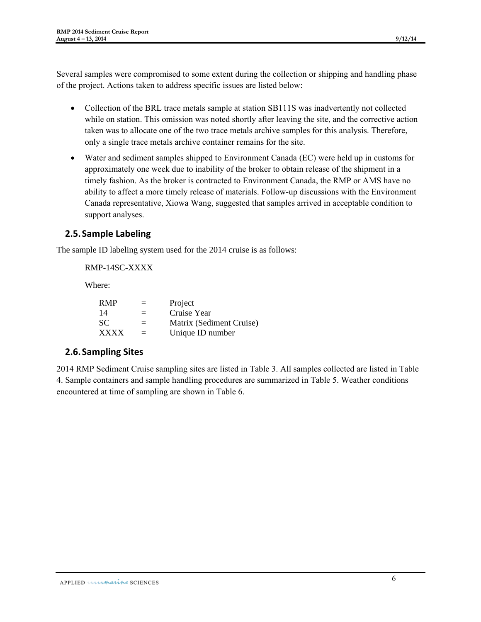Several samples were compromised to some extent during the collection or shipping and handling phase of the project. Actions taken to address specific issues are listed below:

- Collection of the BRL trace metals sample at station SB111S was inadvertently not collected while on station. This omission was noted shortly after leaving the site, and the corrective action taken was to allocate one of the two trace metals archive samples for this analysis. Therefore, only a single trace metals archive container remains for the site.
- Water and sediment samples shipped to Environment Canada (EC) were held up in customs for approximately one week due to inability of the broker to obtain release of the shipment in a timely fashion. As the broker is contracted to Environment Canada, the RMP or AMS have no ability to affect a more timely release of materials. Follow-up discussions with the Environment Canada representative, Xiowa Wang, suggested that samples arrived in acceptable condition to support analyses.

#### **2.5.Sample Labeling**

The sample ID labeling system used for the 2014 cruise is as follows:

RMP-14SC-XXXX

Where:

| <b>RMP</b>  | $=$ | Project                  |
|-------------|-----|--------------------------|
| 14          | $=$ | Cruise Year              |
| SC.         | $=$ | Matrix (Sediment Cruise) |
| <b>XXXX</b> | $=$ | Unique ID number         |

## **2.6.Sampling Sites**

2014 RMP Sediment Cruise sampling sites are listed in [Table 3.](#page-6-0) All samples collected are listed in [Table](#page-7-0)  [4.](#page-7-0) Sample containers and sample handling procedures are summarized in [Table 5.](#page-8-0) Weather conditions encountered at time of sampling are shown in [Table 6.](#page-9-0)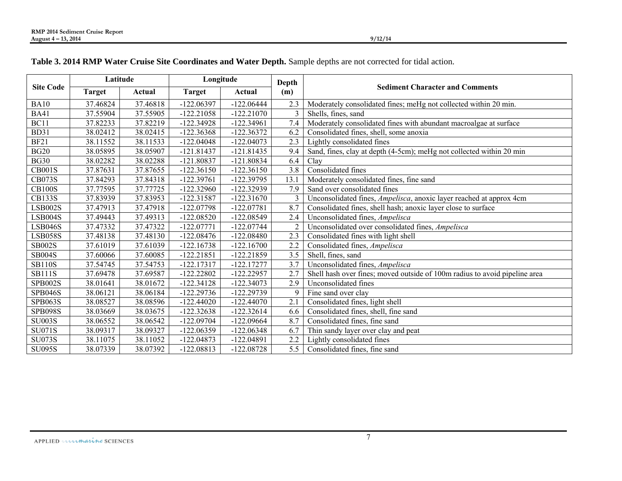<span id="page-6-0"></span>

|                  | Latitude      |          | Longitude     |              | Depth |                                                                            |  |  |  |  |  |
|------------------|---------------|----------|---------------|--------------|-------|----------------------------------------------------------------------------|--|--|--|--|--|
| <b>Site Code</b> | <b>Target</b> | Actual   | <b>Target</b> | Actual       | (m)   | <b>Sediment Character and Comments</b>                                     |  |  |  |  |  |
| <b>BA10</b>      | 37.46824      | 37.46818 | $-122.06397$  | $-122.06444$ | 2.3   | Moderately consolidated fines; meHg not collected within 20 min.           |  |  |  |  |  |
| <b>BA41</b>      | 37.55904      | 37.55905 | $-122.21058$  | $-122.21070$ | 3     | Shells, fines, sand                                                        |  |  |  |  |  |
| BC11             | 37.82233      | 37.82219 | $-122.34928$  | $-122.34961$ | 7.4   | Moderately consolidated fines with abundant macroalgae at surface          |  |  |  |  |  |
| <b>BD31</b>      | 38.02412      | 38.02415 | $-122.36368$  | $-122.36372$ | 6.2   | Consolidated fines, shell, some anoxia                                     |  |  |  |  |  |
| <b>BF21</b>      | 38.11552      | 38.11533 | $-122.04048$  | $-122.04073$ | 2.3   | Lightly consolidated fines                                                 |  |  |  |  |  |
| <b>BG20</b>      | 38.05895      | 38.05907 | $-121.81437$  | $-121.81435$ | 9.4   | Sand, fines, clay at depth (4-5cm); meHg not collected within 20 min       |  |  |  |  |  |
| <b>BG30</b>      | 38.02282      | 38.02288 | $-121.80837$  | $-121.80834$ | 6.4   | Clay                                                                       |  |  |  |  |  |
| <b>CB001S</b>    | 37.87631      | 37.87655 | $-122.36150$  | $-122.36150$ | 3.8   | Consolidated fines                                                         |  |  |  |  |  |
| <b>CB073S</b>    | 37.84293      | 37.84318 | $-122.39761$  | $-122.39795$ | 13.1  | Moderately consolidated fines, fine sand                                   |  |  |  |  |  |
| <b>CB100S</b>    | 37.77595      | 37.77725 | $-122.32960$  | $-122.32939$ | 7.9   | Sand over consolidated fines                                               |  |  |  |  |  |
| <b>CB133S</b>    | 37.83939      | 37.83953 | $-122.31587$  | $-122.31670$ |       | Unconsolidated fines, Ampelisca, anoxic layer reached at approx 4cm        |  |  |  |  |  |
| LSB002S          | 37.47913      | 37.47918 | $-122.07798$  | $-122.07781$ | 8.7   | Consolidated fines, shell hash; anoxic layer close to surface              |  |  |  |  |  |
| LSB004S          | 37.49443      | 37.49313 | $-122.08520$  | $-122.08549$ | 2.4   | Unconsolidated fines, Ampelisca                                            |  |  |  |  |  |
| <b>LSB046S</b>   | 37.47332      | 37.47322 | $-122.07771$  | $-122.07744$ |       | Unconsolidated over consolidated fines, Ampelisca                          |  |  |  |  |  |
| <b>LSB058S</b>   | 37.48138      | 37.48130 | $-122.08476$  | $-122.08480$ | 2.3   | Consolidated fines with light shell                                        |  |  |  |  |  |
| <b>SB002S</b>    | 37.61019      | 37.61039 | $-122.16738$  | $-122.16700$ | 2.2   | Consolidated fines, Ampelisca                                              |  |  |  |  |  |
| <b>SB004S</b>    | 37.60066      | 37.60085 | $-122.21851$  | $-122.21859$ | 3.5   | Shell, fines, sand                                                         |  |  |  |  |  |
| <b>SB110S</b>    | 37.54745      | 37.54753 | $-122.17317$  | $-122.17277$ | 3.7   | Unconsolidated fines, Ampelisca                                            |  |  |  |  |  |
| <b>SB111S</b>    | 37.69478      | 37.69587 | $-122.22802$  | $-122.22957$ | 2.7   | Shell hash over fines; moved outside of 100m radius to avoid pipeline area |  |  |  |  |  |
| <b>SPB002S</b>   | 38.01641      | 38.01672 | $-122.34128$  | $-122.34073$ | 2.9   | Unconsolidated fines                                                       |  |  |  |  |  |
| <b>SPB046S</b>   | 38.06121      | 38.06184 | $-122.29736$  | $-122.29739$ | 9     | Fine sand over clay                                                        |  |  |  |  |  |
| <b>SPB063S</b>   | 38.08527      | 38.08596 | $-122.44020$  | $-122.44070$ | 2.1   | Consolidated fines, light shell                                            |  |  |  |  |  |
| <b>SPB098S</b>   | 38.03669      | 38.03675 | $-122.32638$  | $-122.32614$ | 6.6   | Consolidated fines, shell, fine sand                                       |  |  |  |  |  |
| <b>SU003S</b>    | 38.06552      | 38.06542 | $-122.09704$  | $-122.09664$ | 8.7   | Consolidated fines, fine sand                                              |  |  |  |  |  |
| <b>SU071S</b>    | 38.09317      | 38.09327 | $-122.06359$  | $-122.06348$ | 6.7   | Thin sandy layer over clay and peat                                        |  |  |  |  |  |
| <b>SU073S</b>    | 38.11075      | 38.11052 | $-122.04873$  | $-122.04891$ | 2.2   | Lightly consolidated fines                                                 |  |  |  |  |  |
| <b>SU095S</b>    | 38.07339      | 38.07392 | $-122.08813$  | $-122.08728$ | 5.5   | Consolidated fines, fine sand                                              |  |  |  |  |  |

#### **Table 3. 2014 RMP Water Cruise Site Coordinates and Water Depth.** Sample depths are not corrected for tidal action.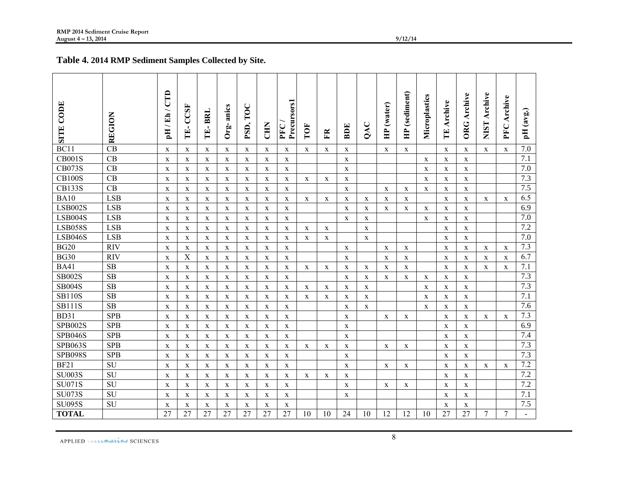#### **Table 4. 2014 RMP Sediment Samples Collected by Site.**

<span id="page-7-0"></span>

| <b>SITE CODE</b> | <b>REGION</b> | pH/Eh/CTD    | CCSF<br>Ė    | IE-BRL      | anics<br>$Org-$ | PSD, TOC    | <b>EHN</b>  | Precursors1<br>PFC | TOF         | 臣            | <b>BIDE</b>  | QAC         | (water)<br>$\mathbf{H}$ | (sediment)<br>È | Microplastics | Archive<br>E | <b>ORG</b> Archive | Archive<br><b>NIST</b> | Archive<br>PFC | (avg.)<br>$\overline{\mathbf{H}}$ |
|------------------|---------------|--------------|--------------|-------------|-----------------|-------------|-------------|--------------------|-------------|--------------|--------------|-------------|-------------------------|-----------------|---------------|--------------|--------------------|------------------------|----------------|-----------------------------------|
| BC11             | CB            | X            | X            | X           | X               | X           | X           | X                  | X           | X            | $\mathbf{X}$ |             | X                       | X               |               | X            | X                  | $\mathbf{X}$           | X              | 7.0                               |
| <b>CB001S</b>    | CB            | $\mathbf X$  | $\mathbf X$  | $\mathbf X$ | $\mathbf X$     | $\mathbf X$ | $\mathbf X$ | $\mathbf x$        |             |              | $\mathbf{x}$ |             |                         |                 | X             | $\mathbf X$  | $\mathbf X$        |                        |                | 7.1                               |
| <b>CB073S</b>    | CB            | $\mathbf{X}$ | X            | $\mathbf X$ | $\mathbf{X}$    | X           | X           | $\mathbf{X}$       |             |              | $\mathbf{x}$ |             |                         |                 | X             | X            | $\mathbf X$        |                        |                | 7.0                               |
| <b>CB100S</b>    | CB            | $\mathbf X$  | $\mathbf X$  | $\mathbf X$ | $\mathbf X$     | $\mathbf X$ | $\mathbf X$ | $\mathbf x$        | X           | $\mathbf X$  | $\mathbf X$  |             |                         |                 | $\mathbf X$   | $\mathbf X$  | $\mathbf X$        |                        |                | 7.3                               |
| <b>CB133S</b>    | CB            | $\mathbf X$  | $\mathbf{X}$ | $\mathbf X$ | $\mathbf x$     | X           | X           | $\mathbf{X}$       |             |              | $\mathbf{X}$ |             | $\mathbf{X}$            | $\mathbf x$     | $\mathbf{x}$  | $\mathbf X$  | $\mathbf X$        |                        |                | 7.5                               |
| <b>BA10</b>      | <b>LSB</b>    | $\mathbf x$  | X            | X           | $\mathbf{X}$    | X           | X           | $\mathbf{X}$       | X           | $\mathbf x$  | $\mathbf{X}$ | X           | X                       | X               |               | $\mathbf{X}$ | X                  | $\mathbf{X}$           | X              | 6.5                               |
| <b>LSB002S</b>   | <b>LSB</b>    | $\mathbf X$  | X            | $\mathbf X$ | $\mathbf X$     | X           | $\mathbf X$ | $\mathbf x$        |             |              | X            | X           | X                       | $\mathbf X$     | X             | $\mathbf X$  | $\mathbf X$        |                        |                | 6.9                               |
| LSB004S          | <b>LSB</b>    | X            | X            | $\mathbf X$ | $\mathbf X$     | $\mathbf X$ | $\mathbf X$ | $\mathbf x$        |             |              | $\mathbf{X}$ | $\mathbf X$ |                         |                 | $\mathbf{X}$  | $\mathbf X$  | $\mathbf X$        |                        |                | 7.0                               |
| <b>LSB058S</b>   | <b>LSB</b>    | X            | X            | $\mathbf X$ | X               | X           | X           | X                  | X           | X            |              | $\mathbf X$ |                         |                 |               | $\mathbf X$  | $\mathbf X$        |                        |                | 7.2                               |
| <b>LSB046S</b>   | <b>LSB</b>    | $\mathbf X$  | $\mathbf X$  | X           | $\mathbf X$     | X           | X           | $\mathbf x$        | X           | $\mathbf X$  |              | $\mathbf X$ |                         |                 |               | X            | X                  |                        |                | 7.0                               |
| <b>BG20</b>      | <b>RIV</b>    | $\mathbf{X}$ | X            | $\mathbf X$ | $\mathbf{X}$    | X           | X           | $\mathbf x$        |             |              | $\mathbf{X}$ |             | X                       | $\mathbf{X}$    |               | X            | $\mathbf X$        | $\mathbf{X}$           | $\mathbf x$    | 7.3                               |
| <b>BG30</b>      | <b>RIV</b>    | $\mathbf X$  | $\mathbf X$  | $\mathbf X$ | $\mathbf X$     | X           | X           | X                  |             |              | $\mathbf X$  |             | $\mathbf X$             | $\mathbf X$     |               | $\mathbf X$  | $\mathbf X$        | $\mathbf X$            | $\mathbf X$    | 6.7                               |
| <b>BA41</b>      | SB            | $\mathbf X$  | $\mathbf X$  | $\mathbf X$ | $\mathbf X$     | $\mathbf X$ | $\mathbf X$ | $\mathbf X$        | X           | $\mathbf X$  | X            | $\mathbf X$ | $\mathbf X$             | $\mathbf X$     |               | $\mathbf X$  | $\mathbf X$        | $\mathbf X$            | $\mathbf X$    | 7.1                               |
| <b>SB002S</b>    | <b>SB</b>     | $\mathbf X$  | X            | $\mathbf X$ | $\mathbf X$     | X           | X           | $\mathbf x$        |             |              | $\mathbf{x}$ | $\mathbf x$ | $\mathbf{x}$            | X               | X             | $\mathbf x$  | $\mathbf X$        |                        |                | 7.3                               |
| <b>SB004S</b>    | <b>SB</b>     | X            | X            | $\mathbf X$ | $\mathbf X$     | $\mathbf X$ | $\mathbf X$ | $\mathbf x$        | X           | $\mathbf X$  | X            | $\mathbf X$ |                         |                 | X             | $\mathbf X$  | $\mathbf X$        |                        |                | 7.3                               |
| <b>SB110S</b>    | <b>SB</b>     | X            | X            | $\mathbf X$ | $\mathbf X$     | $\mathbf X$ | $\mathbf X$ | $\mathbf X$        | $\mathbf X$ | $\mathbf X$  | $\mathbf X$  | $\mathbf X$ |                         |                 | $\mathbf X$   | $\mathbf X$  | $\mathbf X$        |                        |                | 7.1                               |
| <b>SB111S</b>    | <b>SB</b>     | X            | X            | $\mathbf X$ | $\mathbf{X}$    | X           | X           | X                  |             |              | $\mathbf X$  | $\mathbf X$ |                         |                 | X             | X            | $\mathbf X$        |                        |                | 7.6                               |
| BD31             | <b>SPB</b>    | $\mathbf X$  | X            | X           | $\mathbf X$     | X           | $\mathbf x$ | $\mathbf x$        |             |              | $\mathbf X$  |             | X                       | X               |               | X            | $\mathbf X$        | $\mathbf X$            | $\mathbf X$    | 7.3                               |
| SPB002S          | <b>SPB</b>    | $\mathbf X$  | X            | $\mathbf X$ | $\mathbf X$     | X           | $\mathbf x$ | $\mathbf x$        |             |              | $\mathbf{X}$ |             |                         |                 |               | X            | $\mathbf X$        |                        |                | 6.9                               |
| <b>SPB046S</b>   | <b>SPB</b>    | $\mathbf X$  | X            | $\mathbf X$ | $\mathbf X$     | $\mathbf X$ | $\mathbf X$ | $\mathbf x$        |             |              | $\mathbf X$  |             |                         |                 |               | $\mathbf X$  | $\mathbf X$        |                        |                | 7.4                               |
| <b>SPB063S</b>   | <b>SPB</b>    | $\mathbf X$  | $\mathbf X$  | $\mathbf X$ | $\mathbf X$     | $\mathbf X$ | $\mathbf X$ | $\mathbf X$        | $\mathbf x$ | $\mathbf{X}$ | $\mathbf X$  |             | $\mathbf X$             | $\mathbf X$     |               | $\mathbf X$  | $\mathbf X$        |                        |                | 7.3                               |
| <b>SPB098S</b>   | <b>SPB</b>    | $\mathbf x$  | X            | $\mathbf X$ | $\mathbf{X}$    | X           | X           | X                  |             |              | $\mathbf{X}$ |             |                         |                 |               | X            | X                  |                        |                | 7.3                               |
| <b>BF21</b>      | <b>SU</b>     | $\mathbf X$  | X            | $\mathbf X$ | $\mathbf X$     | X           | $\mathbf x$ | $\mathbf x$        |             |              | $\mathbf x$  |             | $\mathbf X$             | $\mathbf x$     |               | $\mathbf X$  | $\mathbf X$        | $\mathbf X$            | $\mathbf X$    | $7.2\,$                           |
| <b>SU003S</b>    | <b>SU</b>     | $\mathbf X$  | X            | X           | $\mathbf X$     | $\mathbf X$ | $\mathbf X$ | $\mathbf x$        | X           | $\mathbf X$  | $\mathbf X$  |             |                         |                 |               | $\mathbf X$  | $\mathbf X$        |                        |                | 7.2                               |
| <b>SU071S</b>    | <b>SU</b>     | X            | X            | X           | X               | X           | X           | X                  |             |              | $\mathbf X$  |             | X                       | X               |               | X            | X                  |                        |                | 7.2                               |
| <b>SU073S</b>    | <b>SU</b>     | $\mathbf X$  | X            | $\mathbf X$ | $\mathbf X$     | $\mathbf X$ | $\mathbf x$ | $\mathbf x$        |             |              | $\mathbf x$  |             |                         |                 |               | X            | $\mathbf X$        |                        |                | 7.1                               |
| <b>SU095S</b>    | SU            | X            | X            | $\mathbf X$ | $\mathbf X$     | X           | X           | X                  |             |              |              |             |                         |                 |               | X            | $\mathbf X$        |                        |                | 7.5                               |
| <b>TOTAL</b>     |               | 27           | 27           | 27          | 27              | 27          | 27          | 27                 | 10          | 10           | 24           | 10          | 12                      | 12              | 10            | 27           | 27                 | $\overline{7}$         | $\overline{7}$ |                                   |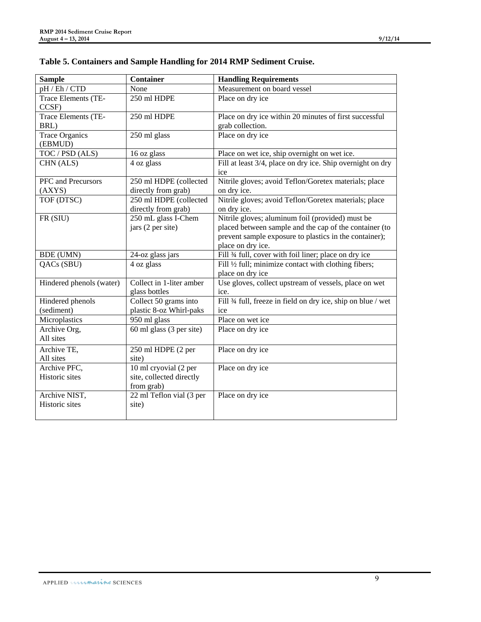| <b>Sample</b>            | <b>Container</b>         | <b>Handling Requirements</b>                                 |
|--------------------------|--------------------------|--------------------------------------------------------------|
| pH / Eh / CTD            | None                     | Measurement on board vessel                                  |
| Trace Elements (TE-      | 250 ml HDPE              | Place on dry ice                                             |
| CCSF)                    |                          |                                                              |
| Trace Elements (TE-      | 250 ml HDPE              | Place on dry ice within 20 minutes of first successful       |
| BRL)                     |                          | grab collection.                                             |
| <b>Trace Organics</b>    | 250 ml glass             | Place on dry ice                                             |
| (EBMUD)                  |                          |                                                              |
| TOC / PSD (ALS)          | 16 oz glass              | Place on wet ice, ship overnight on wet ice.                 |
| CHN (ALS)                | 4 oz glass               | Fill at least 3/4, place on dry ice. Ship overnight on dry   |
|                          |                          | ice                                                          |
| PFC and Precursors       | 250 ml HDPE (collected   | Nitrile gloves; avoid Teflon/Goretex materials; place        |
| (AXYS)                   | directly from grab)      | on dry ice.                                                  |
| TOF (DTSC)               | 250 ml HDPE (collected   | Nitrile gloves; avoid Teflon/Goretex materials; place        |
|                          | directly from grab)      | on dry ice.                                                  |
| FR (SIU)                 | 250 mL glass I-Chem      | Nitrile gloves; aluminum foil (provided) must be             |
|                          | jars (2 per site)        | placed between sample and the cap of the container (to       |
|                          |                          | prevent sample exposure to plastics in the container);       |
|                          |                          | place on dry ice.                                            |
| <b>BDE</b> (UMN)         | 24-oz glass jars         | Fill 34 full, cover with foil liner; place on dry ice        |
| QACs (SBU)               | 4 oz glass               | Fill 1/2 full; minimize contact with clothing fibers;        |
|                          |                          | place on dry ice                                             |
| Hindered phenols (water) | Collect in 1-liter amber | Use gloves, collect upstream of vessels, place on wet        |
|                          | glass bottles            | ice.                                                         |
| Hindered phenols         | Collect 50 grams into    | Fill 34 full, freeze in field on dry ice, ship on blue / wet |
| (sediment)               | plastic 8-oz Whirl-paks  | ice                                                          |
| Microplastics            | 950 ml glass             | Place on wet ice                                             |
| Archive Org,             | 60 ml glass (3 per site) | Place on dry ice                                             |
| All sites                |                          |                                                              |
| Archive TE,              | 250 ml HDPE (2 per       | Place on dry ice                                             |
| All sites                | site)                    |                                                              |
| Archive PFC,             | 10 ml cryovial (2 per    | Place on dry ice                                             |
| Historic sites           | site, collected directly |                                                              |
|                          | from grab)               |                                                              |
| Archive NIST,            | 22 ml Teflon vial (3 per | Place on dry ice                                             |
| Historic sites           | site)                    |                                                              |
|                          |                          |                                                              |

# <span id="page-8-0"></span>**Table 5. Containers and Sample Handling for 2014 RMP Sediment Cruise.**